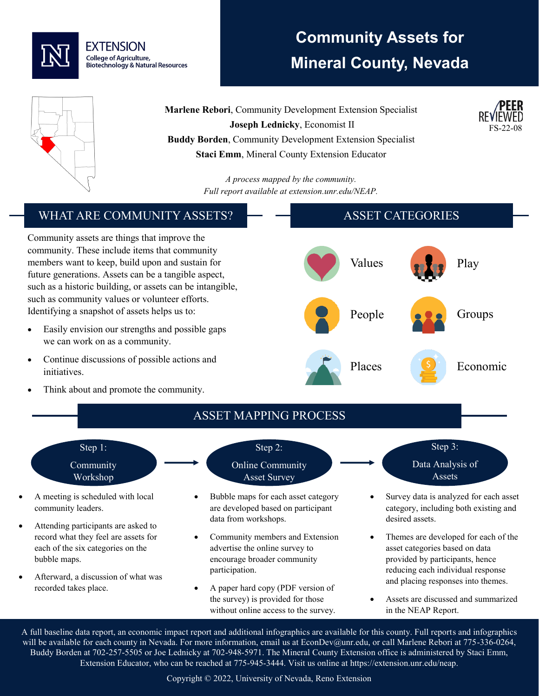

# **Community Assets for Mineral County, Nevada**

FS-22-08



**Marlene Rebori**, Community Development Extension Specialist **Joseph Lednicky**, Economist II **Buddy Borden**, Community Development Extension Specialist **Staci Emm**, Mineral County Extension Educator

> *A process mapped by the community. Full report available at extension.unr.edu/NEAP.*

#### WHAT ARE COMMUNITY ASSETS? Community assets are things that improve the community. These include items that community members want to keep, build upon and sustain for future generations. Assets can be a tangible aspect, such as a historic building, or assets can be intangible, such as community values or volunteer efforts. Identifying a snapshot of assets helps us to: Easily envision our strengths and possible gaps we can work on as a community. • Continue discussions of possible actions and initiatives. Think about and promote the community. ASSET CATEGORIES Values **Play** People **Groups** Places S Economic ASSET MAPPING PROCESS Step 1: Community Workshop • A meeting is scheduled with local community leaders. Attending participants are asked to record what they feel are assets for each of the six categories on the bubble maps. • Afterward, a discussion of what was recorded takes place. Step 2: Online Community Asset Survey • Bubble maps for each asset category are developed based on participant data from workshops. • Community members and Extension advertise the online survey to encourage broader community participation. • A paper hard copy (PDF version of the survey) is provided for those without online access to the survey. Step 3: Data Analysis of Assets • Survey data is analyzed for each asset category, including both existing and desired assets. • Themes are developed for each of the asset categories based on data provided by participants, hence reducing each individual response and placing responses into themes. • Assets are discussed and summarized in the NEAP Report.

A full baseline data report, an economic impact report and additional infographics are available for this county. Full reports and infographics will be available for each county in Nevada. For more information, email us at EconDev@unr.edu, or call Marlene Rebori at 775-336-0264, Buddy Borden at 702-257-5505 or Joe Lednicky at 702-948-5971. The Mineral County Extension office is administered by Staci Emm, Extension Educator, who can be reached at 775-945-3444. Visit us online at https://extension.unr.edu/neap.